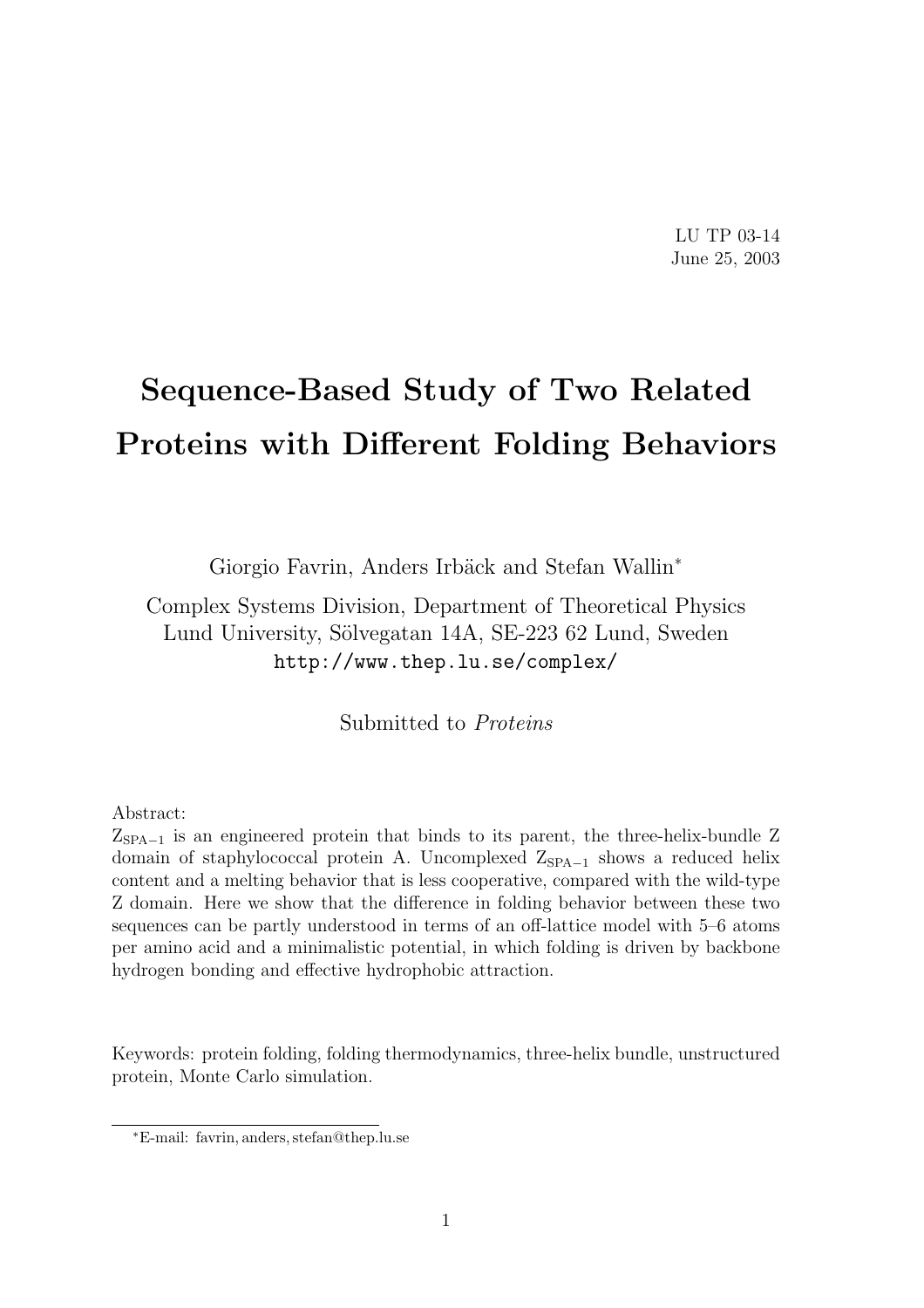LU TP 03-14 June 25, 2003

# Sequence-Based Study of Two Related Proteins with Different Folding Behaviors

Giorgio Favrin, Anders Irbäck and Stefan Wallin<sup>\*</sup>

Complex Systems Division, Department of Theoretical Physics Lund University, Sölvegatan 14A, SE-223 62 Lund, Sweden http://www.thep.lu.se/complex/

Submitted to Proteins

#### Abstract:

 $Z<sub>SPA-1</sub>$  is an engineered protein that binds to its parent, the three-helix-bundle Z domain of staphylococcal protein A. Uncomplexed  $Z_{\text{SPA}-1}$  shows a reduced helix content and a melting behavior that is less cooperative, compared with the wild-type Z domain. Here we show that the difference in folding behavior between these two sequences can be partly understood in terms of an off-lattice model with 5–6 atoms per amino acid and a minimalistic potential, in which folding is driven by backbone hydrogen bonding and effective hydrophobic attraction.

Keywords: protein folding, folding thermodynamics, three-helix bundle, unstructured protein, Monte Carlo simulation.

<sup>∗</sup>E-mail: favrin, anders, stefan@thep.lu.se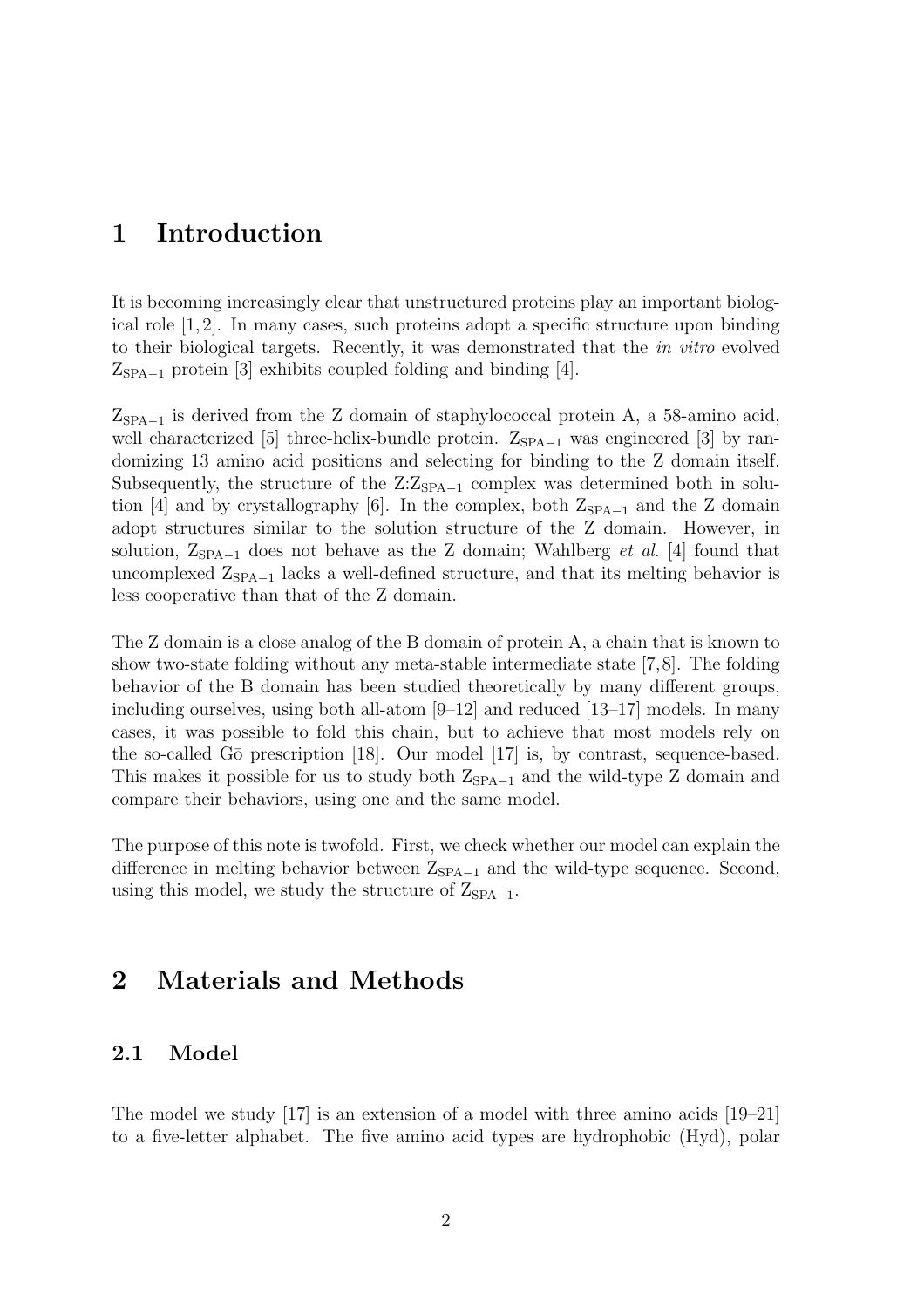## 1 Introduction

It is becoming increasingly clear that unstructured proteins play an important biological role [1, 2]. In many cases, such proteins adopt a specific structure upon binding to their biological targets. Recently, it was demonstrated that the in vitro evolved  $Z_{\text{SPA}-1}$  protein [3] exhibits coupled folding and binding [4].

 $Z_{\text{SPA}-1}$  is derived from the Z domain of staphylococcal protein A, a 58-amino acid, well characterized [5] three-helix-bundle protein.  $Z_{\text{SPA}-1}$  was engineered [3] by randomizing 13 amino acid positions and selecting for binding to the Z domain itself. Subsequently, the structure of the  $Z:Z_{SPA-1}$  complex was determined both in solution [4] and by crystallography [6]. In the complex, both  $Z_{\text{SPA}-1}$  and the Z domain adopt structures similar to the solution structure of the Z domain. However, in solution,  $Z_{\text{SPA}-1}$  does not behave as the Z domain; Wahlberg *et al.* [4] found that uncomplexed  $Z_{\text{SPA}-1}$  lacks a well-defined structure, and that its melting behavior is less cooperative than that of the Z domain.

The Z domain is a close analog of the B domain of protein A, a chain that is known to show two-state folding without any meta-stable intermediate state [7,8]. The folding behavior of the B domain has been studied theoretically by many different groups, including ourselves, using both all-atom  $[9-12]$  and reduced  $[13-17]$  models. In many cases, it was possible to fold this chain, but to achieve that most models rely on the so-called G $\bar{o}$  prescription [18]. Our model [17] is, by contrast, sequence-based. This makes it possible for us to study both  $Z_{\text{SPA}-1}$  and the wild-type Z domain and compare their behaviors, using one and the same model.

The purpose of this note is twofold. First, we check whether our model can explain the difference in melting behavior between  $Z_{\text{SPA}-1}$  and the wild-type sequence. Second, using this model, we study the structure of  $Z_{\text{SPA}-1}$ .

# 2 Materials and Methods

### 2.1 Model

The model we study [17] is an extension of a model with three amino acids [19–21] to a five-letter alphabet. The five amino acid types are hydrophobic (Hyd), polar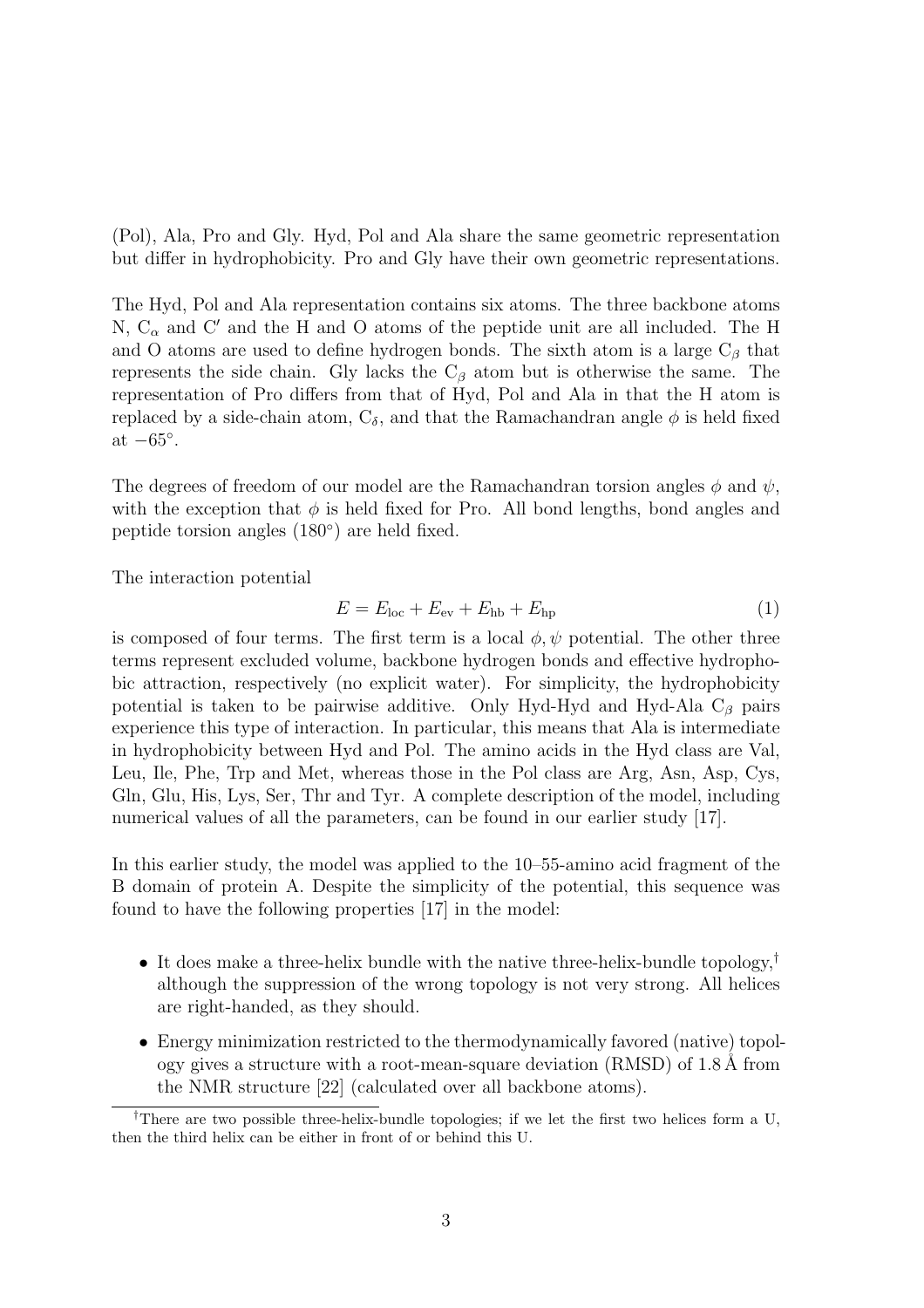(Pol), Ala, Pro and Gly. Hyd, Pol and Ala share the same geometric representation but differ in hydrophobicity. Pro and Gly have their own geometric representations.

The Hyd, Pol and Ala representation contains six atoms. The three backbone atoms N,  $C_{\alpha}$  and C' and the H and O atoms of the peptide unit are all included. The H and O atoms are used to define hydrogen bonds. The sixth atom is a large  $C_\beta$  that represents the side chain. Gly lacks the  $C_\beta$  atom but is otherwise the same. The representation of Pro differs from that of Hyd, Pol and Ala in that the H atom is replaced by a side-chain atom,  $C_{\delta}$ , and that the Ramachandran angle  $\phi$  is held fixed at  $-65^\circ$ .

The degrees of freedom of our model are the Ramachandran torsion angles  $\phi$  and  $\psi$ , with the exception that  $\phi$  is held fixed for Pro. All bond lengths, bond angles and peptide torsion angles (180◦ ) are held fixed.

The interaction potential

$$
E = Eloc + Eev + Ehb + Ehp
$$
 (1)

is composed of four terms. The first term is a local  $\phi, \psi$  potential. The other three terms represent excluded volume, backbone hydrogen bonds and effective hydrophobic attraction, respectively (no explicit water). For simplicity, the hydrophobicity potential is taken to be pairwise additive. Only Hyd-Hyd and Hyd-Ala  $C_\beta$  pairs experience this type of interaction. In particular, this means that Ala is intermediate in hydrophobicity between Hyd and Pol. The amino acids in the Hyd class are Val, Leu, Ile, Phe, Trp and Met, whereas those in the Pol class are Arg, Asn, Asp, Cys, Gln, Glu, His, Lys, Ser, Thr and Tyr. A complete description of the model, including numerical values of all the parameters, can be found in our earlier study [17].

In this earlier study, the model was applied to the 10–55-amino acid fragment of the B domain of protein A. Despite the simplicity of the potential, this sequence was found to have the following properties [17] in the model:

- It does make a three-helix bundle with the native three-helix-bundle topology,<sup>†</sup> although the suppression of the wrong topology is not very strong. All helices are right-handed, as they should.
- Energy minimization restricted to the thermodynamically favored (native) topology gives a structure with a root-mean-square deviation  $(RMSD)$  of 1.8 Å from the NMR structure [22] (calculated over all backbone atoms).

<sup>†</sup>There are two possible three-helix-bundle topologies; if we let the first two helices form a U, then the third helix can be either in front of or behind this U.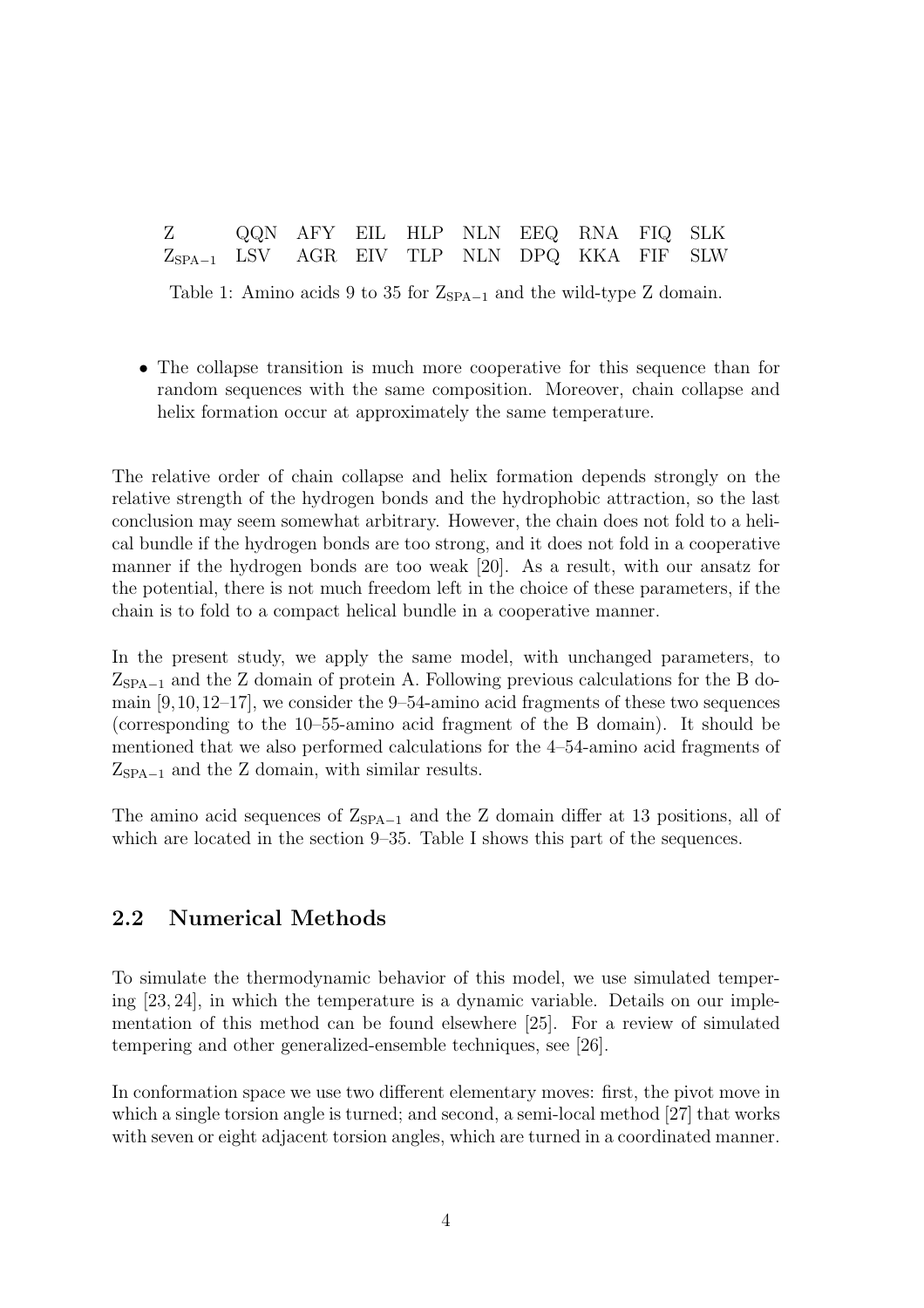| Z                                               | QQN AFY EIL HLP NLN EEQ RNA FIQ SLK |  |  |  |  |
|-------------------------------------------------|-------------------------------------|--|--|--|--|
| $Z_{SPA-1}$ LSV AGR EIV TLP NLN DPQ KKA FIF SLW |                                     |  |  |  |  |

Table 1: Amino acids 9 to 35 for  $Z_{\text{SPA}-1}$  and the wild-type Z domain.

• The collapse transition is much more cooperative for this sequence than for random sequences with the same composition. Moreover, chain collapse and helix formation occur at approximately the same temperature.

The relative order of chain collapse and helix formation depends strongly on the relative strength of the hydrogen bonds and the hydrophobic attraction, so the last conclusion may seem somewhat arbitrary. However, the chain does not fold to a helical bundle if the hydrogen bonds are too strong, and it does not fold in a cooperative manner if the hydrogen bonds are too weak [20]. As a result, with our ansatz for the potential, there is not much freedom left in the choice of these parameters, if the chain is to fold to a compact helical bundle in a cooperative manner.

In the present study, we apply the same model, with unchanged parameters, to  $Z<sub>SPA-1</sub>$  and the Z domain of protein A. Following previous calculations for the B domain [9,10,12–17], we consider the 9–54-amino acid fragments of these two sequences (corresponding to the 10–55-amino acid fragment of the B domain). It should be mentioned that we also performed calculations for the 4–54-amino acid fragments of  $Z_{\text{SPA}-1}$  and the Z domain, with similar results.

The amino acid sequences of  $Z_{\text{SPA}-1}$  and the Z domain differ at 13 positions, all of which are located in the section 9–35. Table I shows this part of the sequences.

## 2.2 Numerical Methods

To simulate the thermodynamic behavior of this model, we use simulated tempering [23, 24], in which the temperature is a dynamic variable. Details on our implementation of this method can be found elsewhere [25]. For a review of simulated tempering and other generalized-ensemble techniques, see [26].

In conformation space we use two different elementary moves: first, the pivot move in which a single torsion angle is turned; and second, a semi-local method [27] that works with seven or eight adjacent torsion angles, which are turned in a coordinated manner.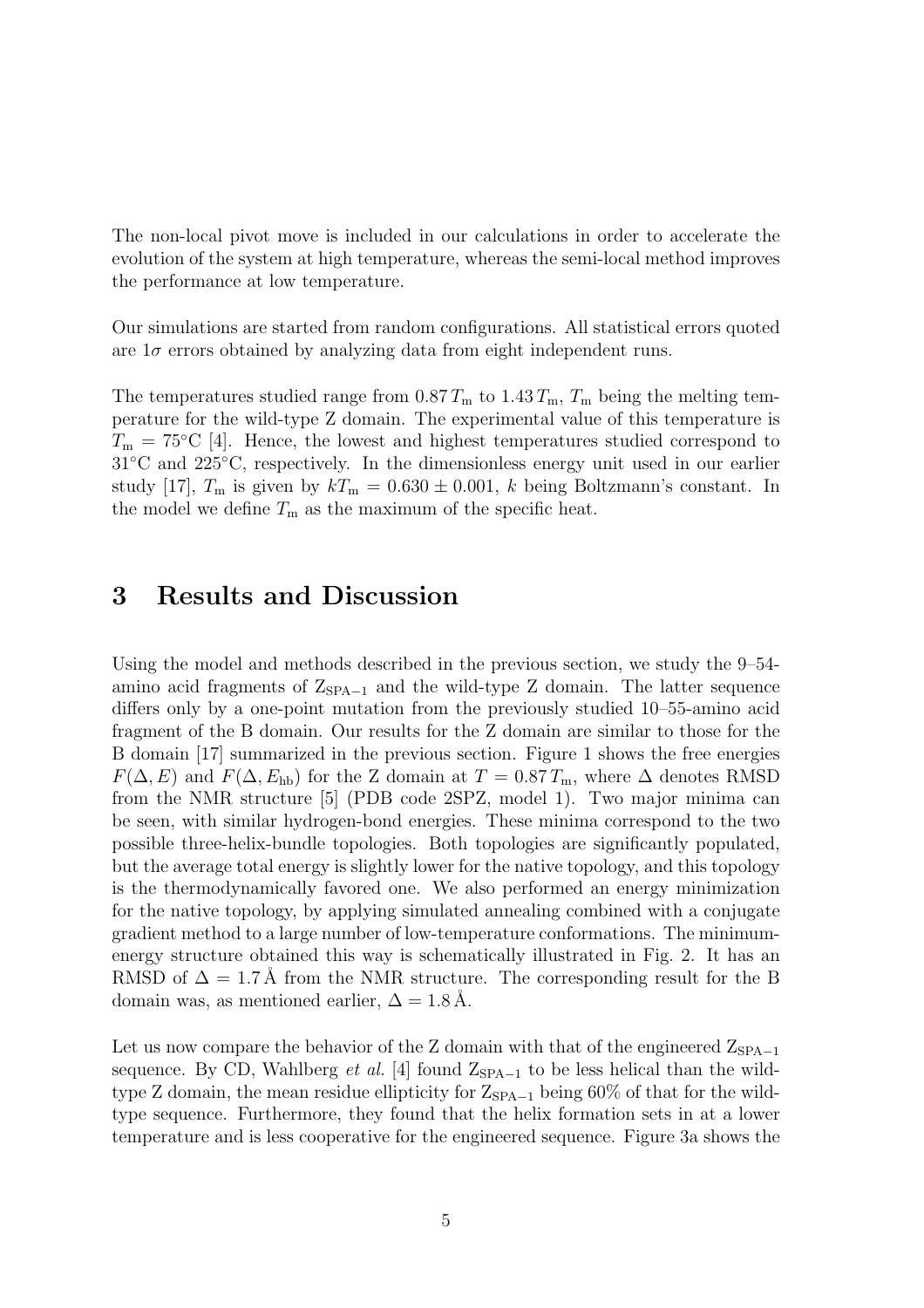The non-local pivot move is included in our calculations in order to accelerate the evolution of the system at high temperature, whereas the semi-local method improves the performance at low temperature.

Our simulations are started from random configurations. All statistical errors quoted are  $1\sigma$  errors obtained by analyzing data from eight independent runs.

The temperatures studied range from  $0.87 T_{\rm m}$  to  $1.43 T_{\rm m}$ ,  $T_{\rm m}$  being the melting temperature for the wild-type Z domain. The experimental value of this temperature is  $T_{\rm m} = 75^{\circ}\text{C}$  [4]. Hence, the lowest and highest temperatures studied correspond to 31◦C and 225◦C, respectively. In the dimensionless energy unit used in our earlier study [17],  $T_{\text{m}}$  is given by  $kT_{\text{m}} = 0.630 \pm 0.001$ , k being Boltzmann's constant. In the model we define  $T_{\rm m}$  as the maximum of the specific heat.

## 3 Results and Discussion

Using the model and methods described in the previous section, we study the 9–54 amino acid fragments of  $Z_{\text{SPA}-1}$  and the wild-type Z domain. The latter sequence differs only by a one-point mutation from the previously studied 10–55-amino acid fragment of the B domain. Our results for the Z domain are similar to those for the B domain [17] summarized in the previous section. Figure 1 shows the free energies  $F(\Delta, E)$  and  $F(\Delta, E_{\text{hb}})$  for the Z domain at  $T = 0.87 T_{\text{m}}$ , where  $\Delta$  denotes RMSD from the NMR structure [5] (PDB code 2SPZ, model 1). Two major minima can be seen, with similar hydrogen-bond energies. These minima correspond to the two possible three-helix-bundle topologies. Both topologies are significantly populated, but the average total energy is slightly lower for the native topology, and this topology is the thermodynamically favored one. We also performed an energy minimization for the native topology, by applying simulated annealing combined with a conjugate gradient method to a large number of low-temperature conformations. The minimumenergy structure obtained this way is schematically illustrated in Fig. 2. It has an RMSD of  $\Delta = 1.7$  Å from the NMR structure. The corresponding result for the B domain was, as mentioned earlier,  $\Delta = 1.8 \text{ Å}.$ 

Let us now compare the behavior of the Z domain with that of the engineered  $Z_{\text{SPA}-1}$ sequence. By CD, Wahlberg et al. [4] found  $Z_{SPA-1}$  to be less helical than the wildtype Z domain, the mean residue ellipticity for  $Z_{\text{SPA}-1}$  being 60% of that for the wildtype sequence. Furthermore, they found that the helix formation sets in at a lower temperature and is less cooperative for the engineered sequence. Figure 3a shows the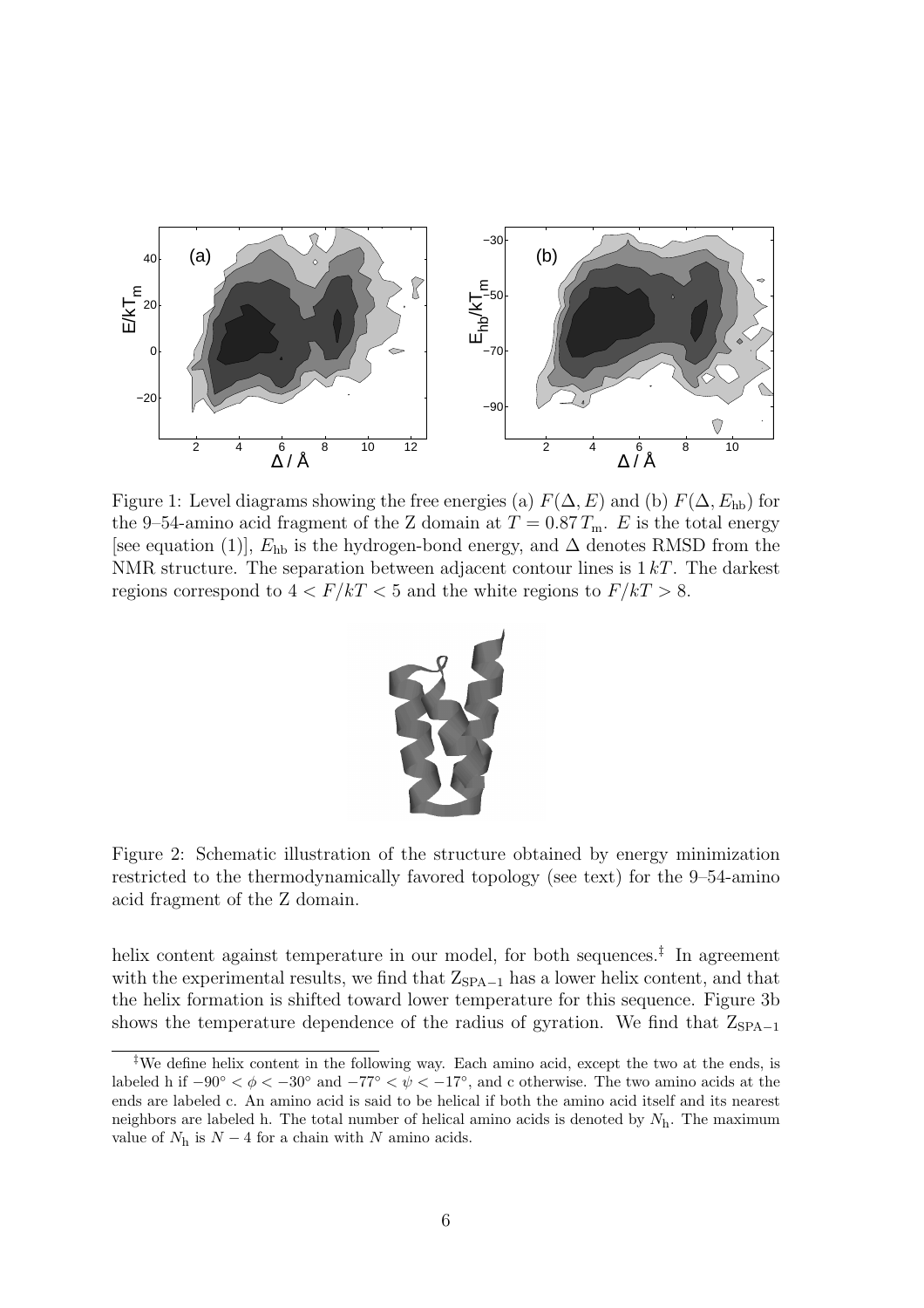

Figure 1: Level diagrams showing the free energies (a)  $F(\Delta, E)$  and (b)  $F(\Delta, E_{\text{hb}})$  for the 9–54-amino acid fragment of the Z domain at  $T = 0.87 T_{\rm m}$ . E is the total energy [see equation (1)],  $E_{\text{hb}}$  is the hydrogen-bond energy, and  $\Delta$  denotes RMSD from the NMR structure. The separation between adjacent contour lines is  $1 kT$ . The darkest regions correspond to  $4 < F/kT < 5$  and the white regions to  $F/kT > 8$ .



Figure 2: Schematic illustration of the structure obtained by energy minimization restricted to the thermodynamically favored topology (see text) for the 9–54-amino acid fragment of the Z domain.

helix content against temperature in our model, for both sequences.<sup>‡</sup> In agreement with the experimental results, we find that  $Z_{\text{SPA}-1}$  has a lower helix content, and that the helix formation is shifted toward lower temperature for this sequence. Figure 3b shows the temperature dependence of the radius of gyration. We find that  $Z_{\text{SPA}-1}$ 

<sup>‡</sup>We define helix content in the following way. Each amino acid, except the two at the ends, is labeled h if  $-90° < \phi < -30°$  and  $-77° < \psi < -17°$ , and c otherwise. The two amino acids at the ends are labeled c. An amino acid is said to be helical if both the amino acid itself and its nearest neighbors are labeled h. The total number of helical amino acids is denoted by  $N<sub>h</sub>$ . The maximum value of  $N_h$  is  $N-4$  for a chain with N amino acids.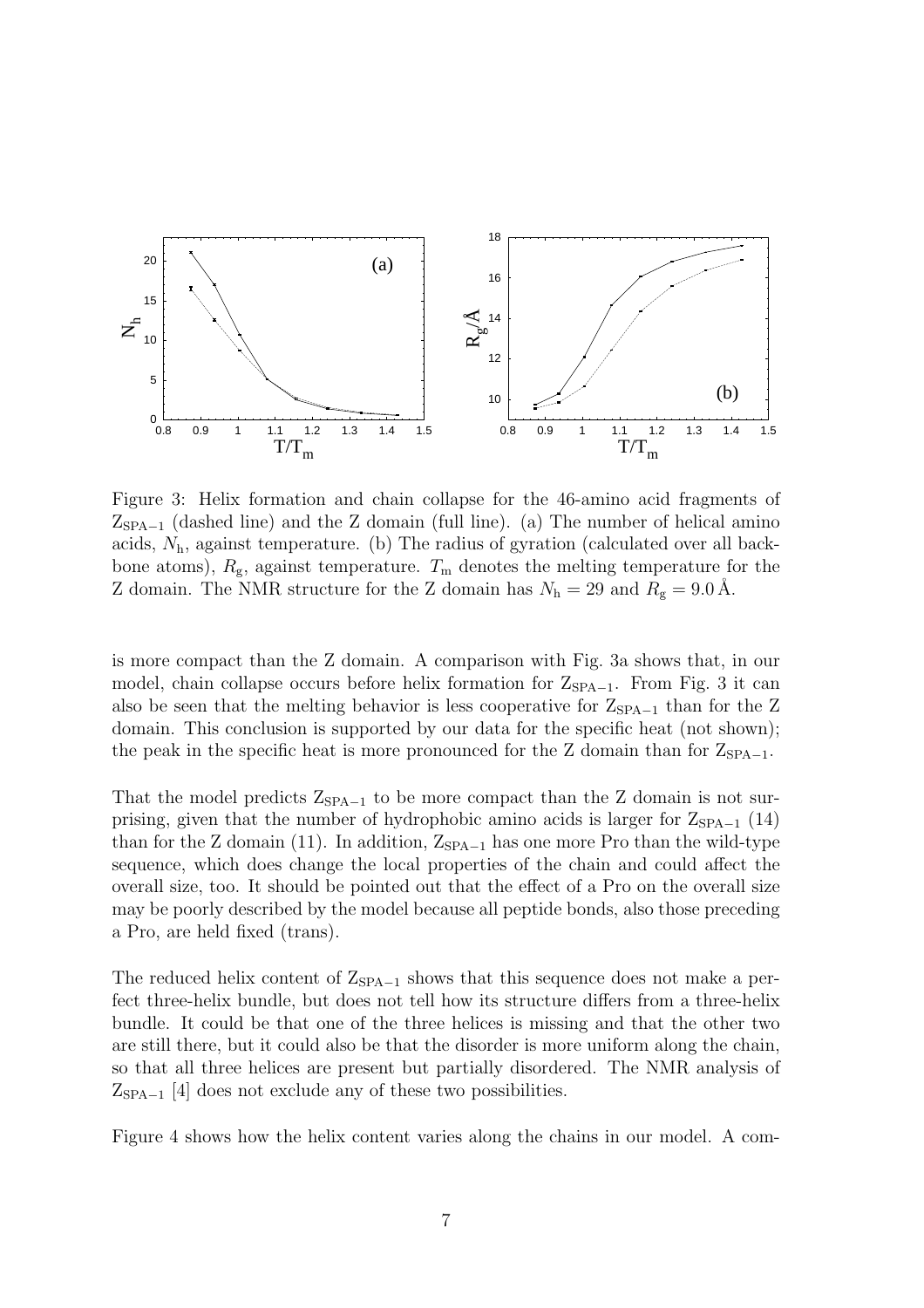

Figure 3: Helix formation and chain collapse for the 46-amino acid fragments of  $Z_{\text{SPA}-1}$  (dashed line) and the Z domain (full line). (a) The number of helical amino acids,  $N<sub>h</sub>$ , against temperature. (b) The radius of gyration (calculated over all backbone atoms),  $R_{\rm g}$ , against temperature.  $T_{\rm m}$  denotes the melting temperature for the Z domain. The NMR structure for the Z domain has  $N_h = 29$  and  $R_g = 9.0 \text{ Å}$ .

is more compact than the Z domain. A comparison with Fig. 3a shows that, in our model, chain collapse occurs before helix formation for  $Z_{\text{SPA}-1}$ . From Fig. 3 it can also be seen that the melting behavior is less cooperative for  $Z_{\text{SPA}-1}$  than for the Z domain. This conclusion is supported by our data for the specific heat (not shown); the peak in the specific heat is more pronounced for the Z domain than for  $Z_{\text{SPA}-1}$ .

That the model predicts  $Z_{\text{SPA}-1}$  to be more compact than the Z domain is not surprising, given that the number of hydrophobic amino acids is larger for  $Z_{\text{SPA}-1}$  (14) than for the Z domain (11). In addition,  $Z_{\text{SPA}-1}$  has one more Pro than the wild-type sequence, which does change the local properties of the chain and could affect the overall size, too. It should be pointed out that the effect of a Pro on the overall size may be poorly described by the model because all peptide bonds, also those preceding a Pro, are held fixed (trans).

The reduced helix content of  $Z_{\text{SPA}-1}$  shows that this sequence does not make a perfect three-helix bundle, but does not tell how its structure differs from a three-helix bundle. It could be that one of the three helices is missing and that the other two are still there, but it could also be that the disorder is more uniform along the chain, so that all three helices are present but partially disordered. The NMR analysis of  $Z_{\text{SPA}-1}$  [4] does not exclude any of these two possibilities.

Figure 4 shows how the helix content varies along the chains in our model. A com-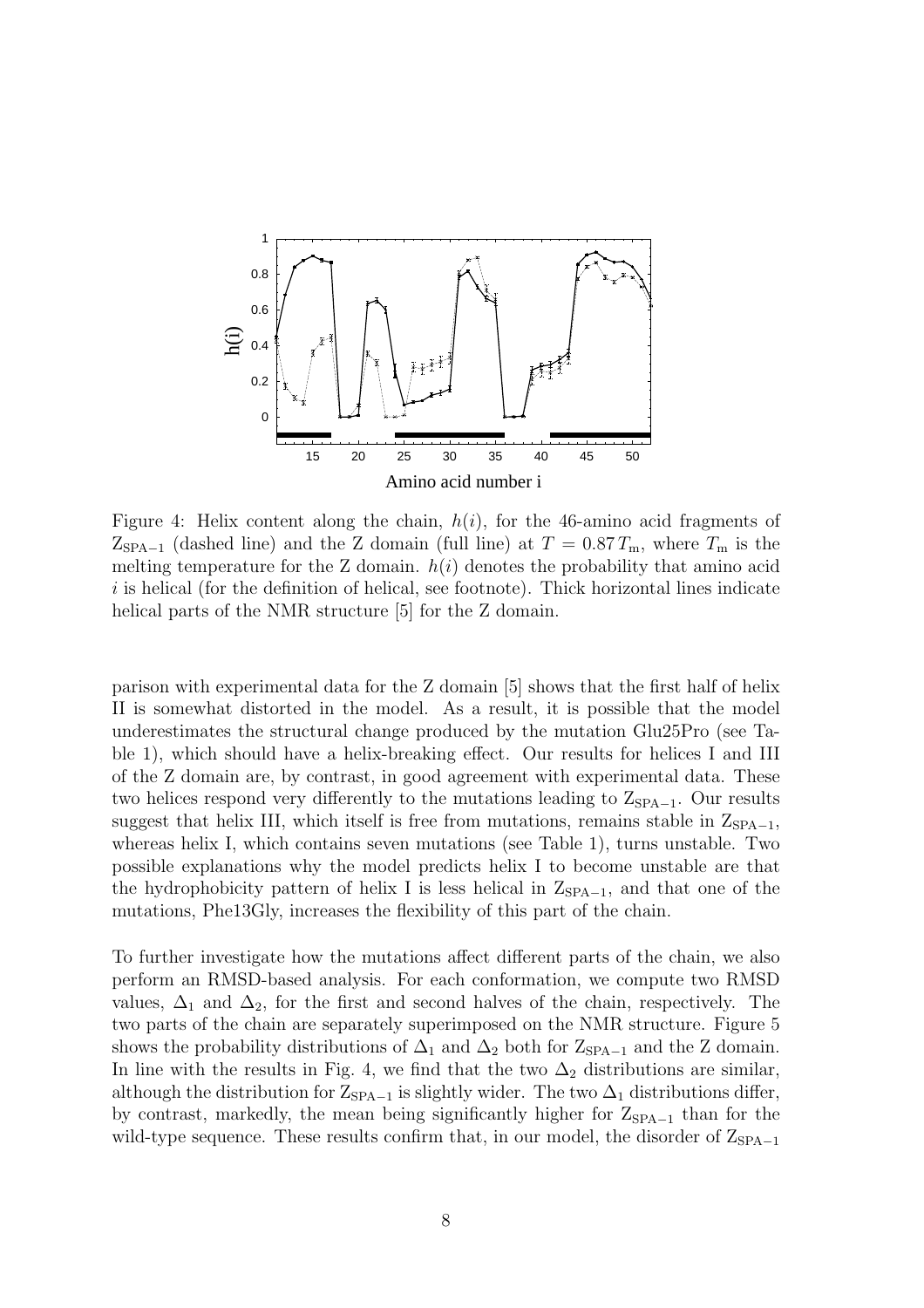

Figure 4: Helix content along the chain,  $h(i)$ , for the 46-amino acid fragments of  $Z_{\text{SPA}-1}$  (dashed line) and the Z domain (full line) at  $T = 0.87 T_{\text{m}}$ , where  $T_{\text{m}}$  is the melting temperature for the Z domain.  $h(i)$  denotes the probability that amino acid  $i$  is helical (for the definition of helical, see footnote). Thick horizontal lines indicate helical parts of the NMR structure [5] for the Z domain.

parison with experimental data for the Z domain [5] shows that the first half of helix II is somewhat distorted in the model. As a result, it is possible that the model underestimates the structural change produced by the mutation Glu25Pro (see Table 1), which should have a helix-breaking effect. Our results for helices I and III of the Z domain are, by contrast, in good agreement with experimental data. These two helices respond very differently to the mutations leading to  $Z_{\text{SPA}-1}$ . Our results suggest that helix III, which itself is free from mutations, remains stable in  $Z_{\text{SPA}-1}$ , whereas helix I, which contains seven mutations (see Table 1), turns unstable. Two possible explanations why the model predicts helix I to become unstable are that the hydrophobicity pattern of helix I is less helical in  $Z_{\text{SPA}-1}$ , and that one of the mutations, Phe13Gly, increases the flexibility of this part of the chain.

To further investigate how the mutations affect different parts of the chain, we also perform an RMSD-based analysis. For each conformation, we compute two RMSD values,  $\Delta_1$  and  $\Delta_2$ , for the first and second halves of the chain, respectively. The two parts of the chain are separately superimposed on the NMR structure. Figure 5 shows the probability distributions of  $\Delta_1$  and  $\Delta_2$  both for  $Z_{\text{SPA}-1}$  and the Z domain. In line with the results in Fig. 4, we find that the two  $\Delta_2$  distributions are similar, although the distribution for  $Z_{\text{SPA}-1}$  is slightly wider. The two  $\Delta_1$  distributions differ, by contrast, markedly, the mean being significantly higher for  $Z_{\text{SPA}-1}$  than for the wild-type sequence. These results confirm that, in our model, the disorder of  $Z_{\text{SPA}-1}$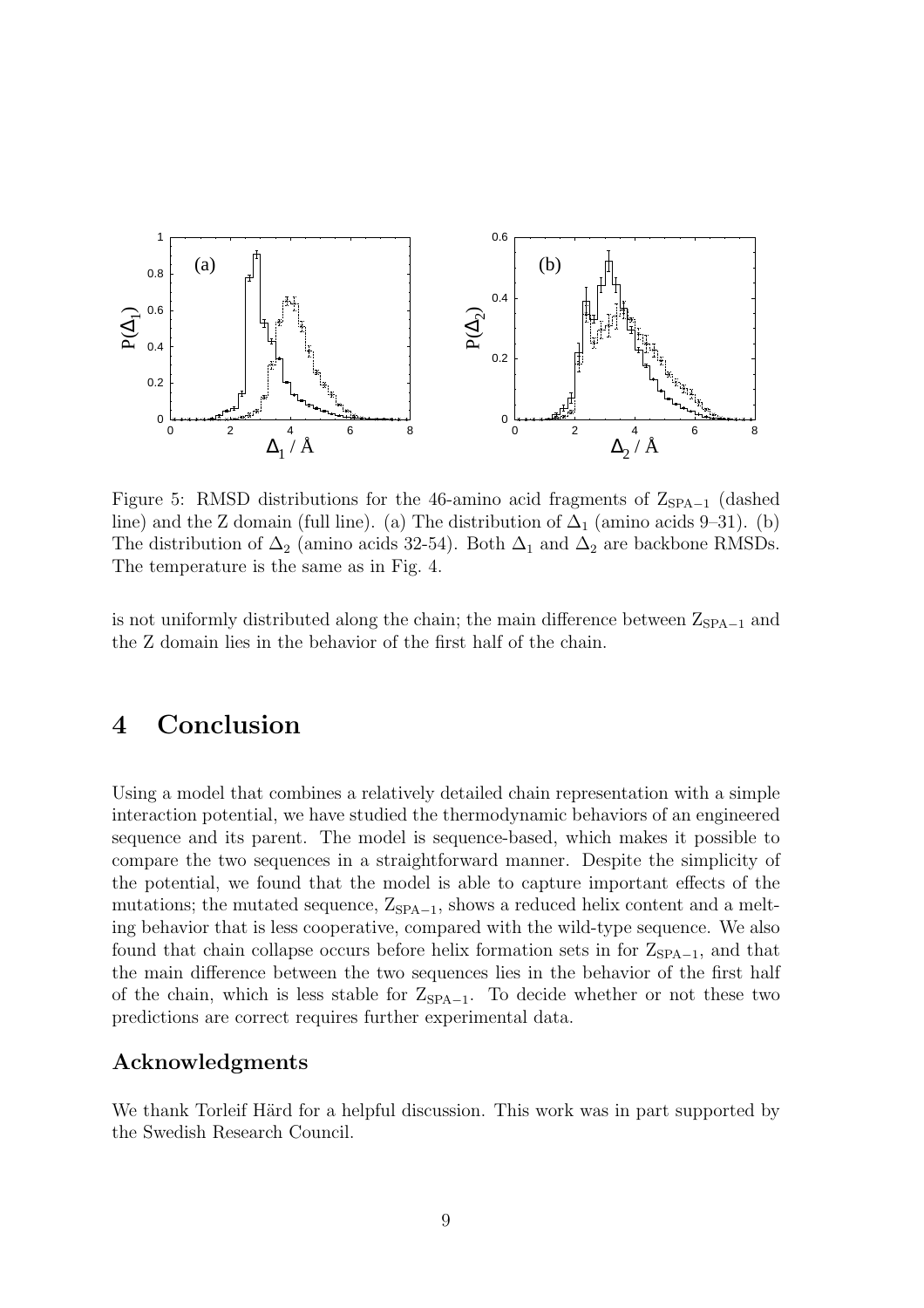

Figure 5: RMSD distributions for the 46-amino acid fragments of  $Z_{\text{SPA}-1}$  (dashed line) and the Z domain (full line). (a) The distribution of  $\Delta_1$  (amino acids 9–31). (b) The distribution of  $\Delta_2$  (amino acids 32-54). Both  $\Delta_1$  and  $\Delta_2$  are backbone RMSDs. The temperature is the same as in Fig. 4.

is not uniformly distributed along the chain; the main difference between  $Z_{SPA-1}$  and the Z domain lies in the behavior of the first half of the chain.

## 4 Conclusion

Using a model that combines a relatively detailed chain representation with a simple interaction potential, we have studied the thermodynamic behaviors of an engineered sequence and its parent. The model is sequence-based, which makes it possible to compare the two sequences in a straightforward manner. Despite the simplicity of the potential, we found that the model is able to capture important effects of the mutations; the mutated sequence,  $Z_{\text{SPA}-1}$ , shows a reduced helix content and a melting behavior that is less cooperative, compared with the wild-type sequence. We also found that chain collapse occurs before helix formation sets in for  $Z_{\text{SPA}-1}$ , and that the main difference between the two sequences lies in the behavior of the first half of the chain, which is less stable for  $Z_{\text{SPA}-1}$ . To decide whether or not these two predictions are correct requires further experimental data.

#### Acknowledgments

We thank Torleif Härd for a helpful discussion. This work was in part supported by the Swedish Research Council.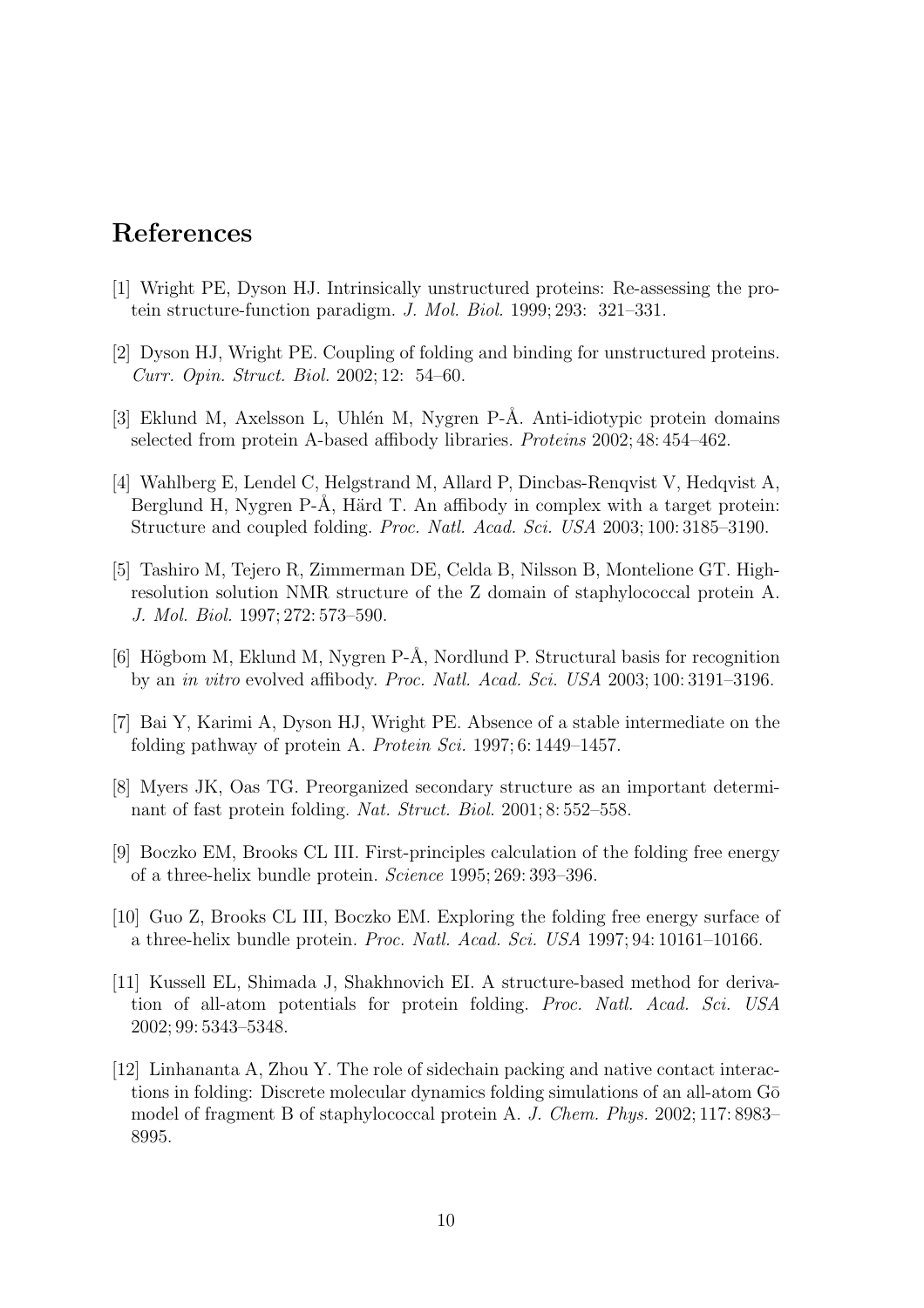## References

- [1] Wright PE, Dyson HJ. Intrinsically unstructured proteins: Re-assessing the protein structure-function paradigm. J. Mol. Biol. 1999; 293: 321–331.
- [2] Dyson HJ, Wright PE. Coupling of folding and binding for unstructured proteins. Curr. Opin. Struct. Biol. 2002; 12: 54–60.
- [3] Eklund M, Axelsson L, Uhlén M, Nygren P-Å. Anti-idiotypic protein domains selected from protein A-based affibody libraries. Proteins 2002; 48: 454–462.
- [4] Wahlberg E, Lendel C, Helgstrand M, Allard P, Dincbas-Renqvist V, Hedqvist A, Berglund H, Nygren P-Å, Härd T. An affibody in complex with a target protein: Structure and coupled folding. Proc. Natl. Acad. Sci. USA 2003; 100: 3185–3190.
- [5] Tashiro M, Tejero R, Zimmerman DE, Celda B, Nilsson B, Montelione GT. Highresolution solution NMR structure of the Z domain of staphylococcal protein A. J. Mol. Biol. 1997; 272: 573–590.
- [6] Högbom M, Eklund M, Nygren P-Å, Nordlund P. Structural basis for recognition by an in vitro evolved affibody. Proc. Natl. Acad. Sci. USA 2003; 100: 3191–3196.
- [7] Bai Y, Karimi A, Dyson HJ, Wright PE. Absence of a stable intermediate on the folding pathway of protein A. Protein Sci. 1997; 6: 1449–1457.
- [8] Myers JK, Oas TG. Preorganized secondary structure as an important determinant of fast protein folding. Nat. Struct. Biol. 2001; 8: 552–558.
- [9] Boczko EM, Brooks CL III. First-principles calculation of the folding free energy of a three-helix bundle protein. Science 1995; 269: 393–396.
- [10] Guo Z, Brooks CL III, Boczko EM. Exploring the folding free energy surface of a three-helix bundle protein. Proc. Natl. Acad. Sci. USA 1997; 94: 10161–10166.
- [11] Kussell EL, Shimada J, Shakhnovich EI. A structure-based method for derivation of all-atom potentials for protein folding. Proc. Natl. Acad. Sci. USA 2002; 99: 5343–5348.
- [12] Linhananta A, Zhou Y. The role of sidechain packing and native contact interactions in folding: Discrete molecular dynamics folding simulations of an all-atom  $G\bar{o}$ model of fragment B of staphylococcal protein A. J. Chem. Phys. 2002; 117: 8983– 8995.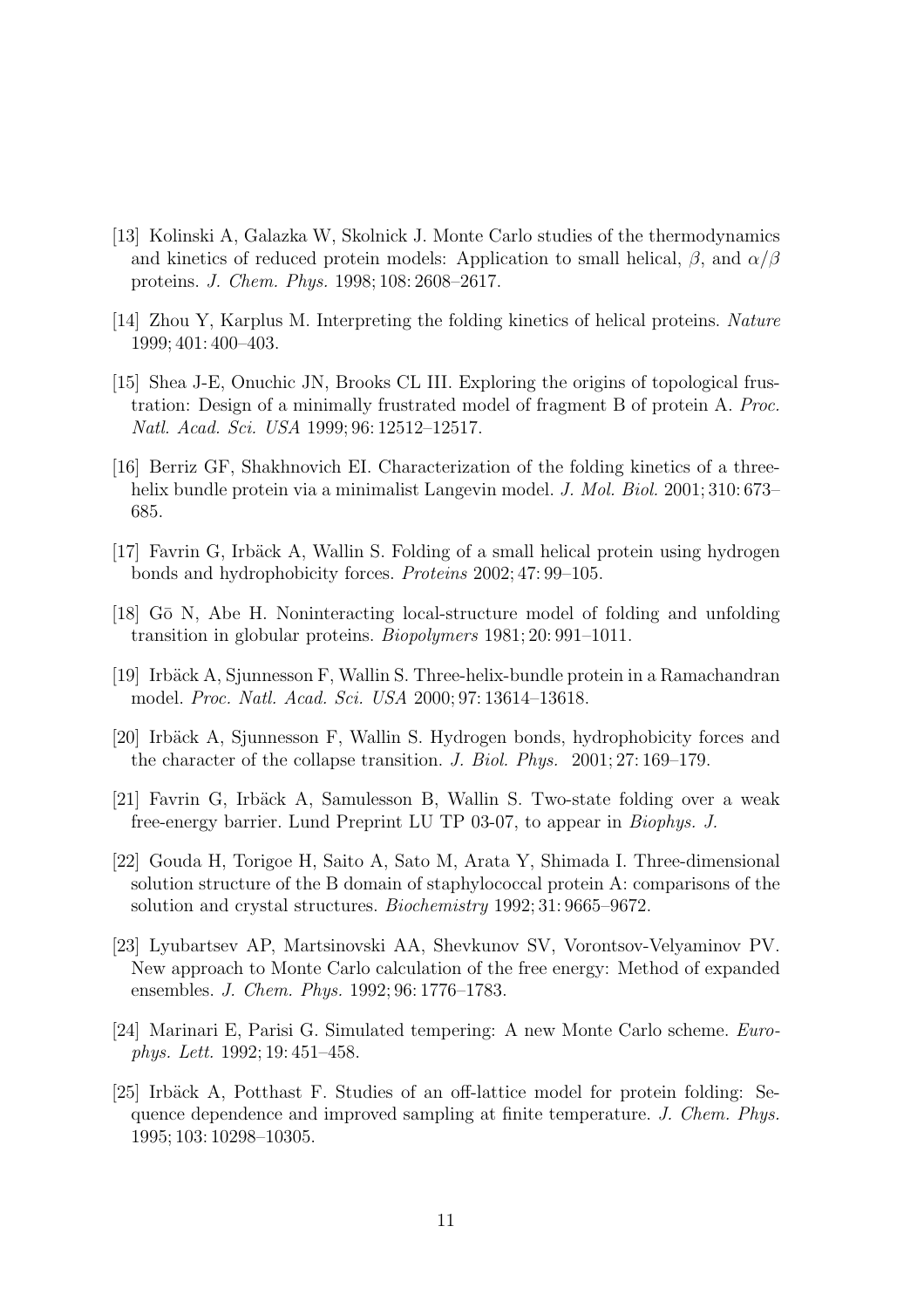- [13] Kolinski A, Galazka W, Skolnick J. Monte Carlo studies of the thermodynamics and kinetics of reduced protein models: Application to small helical,  $\beta$ , and  $\alpha/\beta$ proteins. J. Chem. Phys. 1998; 108: 2608–2617.
- [14] Zhou Y, Karplus M. Interpreting the folding kinetics of helical proteins. Nature 1999; 401: 400–403.
- [15] Shea J-E, Onuchic JN, Brooks CL III. Exploring the origins of topological frustration: Design of a minimally frustrated model of fragment B of protein A. Proc. Natl. Acad. Sci. USA 1999; 96: 12512–12517.
- [16] Berriz GF, Shakhnovich EI. Characterization of the folding kinetics of a threehelix bundle protein via a minimalist Langevin model. J. Mol. Biol. 2001; 310: 673– 685.
- [17] Favrin G, Irbäck A, Wallin S. Folding of a small helical protein using hydrogen bonds and hydrophobicity forces. Proteins 2002; 47: 99–105.
- [18] G¯o N, Abe H. Noninteracting local-structure model of folding and unfolding transition in globular proteins. Biopolymers 1981; 20: 991–1011.
- [19] Irb¨ack A, Sjunnesson F, Wallin S. Three-helix-bundle protein in a Ramachandran model. Proc. Natl. Acad. Sci. USA 2000; 97: 13614–13618.
- [20] Irbäck A, Sjunnesson F, Wallin S. Hydrogen bonds, hydrophobicity forces and the character of the collapse transition. J. Biol. Phys. 2001; 27: 169–179.
- [21] Favrin G, Irbäck A, Samulesson B, Wallin S. Two-state folding over a weak free-energy barrier. Lund Preprint LU TP 03-07, to appear in Biophys. J.
- [22] Gouda H, Torigoe H, Saito A, Sato M, Arata Y, Shimada I. Three-dimensional solution structure of the B domain of staphylococcal protein A: comparisons of the solution and crystal structures. Biochemistry 1992; 31: 9665–9672.
- [23] Lyubartsev AP, Martsinovski AA, Shevkunov SV, Vorontsov-Velyaminov PV. New approach to Monte Carlo calculation of the free energy: Method of expanded ensembles. J. Chem. Phys. 1992; 96: 1776–1783.
- [24] Marinari E, Parisi G. Simulated tempering: A new Monte Carlo scheme. Europhys. Lett. 1992; 19: 451–458.
- $[25]$  Irbäck A, Potthast F. Studies of an off-lattice model for protein folding: Sequence dependence and improved sampling at finite temperature. J. Chem. Phys. 1995; 103: 10298–10305.